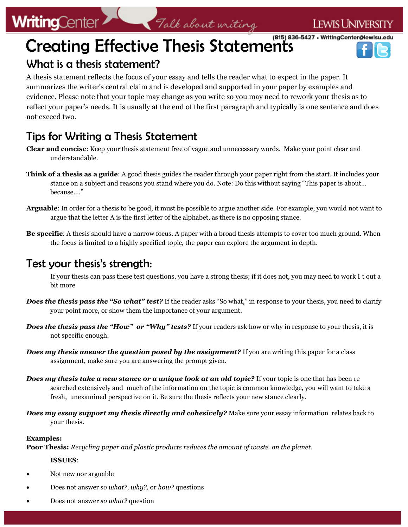# **WritingCenter**

# Creating Effective Thesis Statements



## What is a thesis statement?

A thesis statement reflects the focus of your essay and tells the reader what to expect in the paper. It summarizes the writer's central claim and is developed and supported in your paper by examples and evidence. Please note that your topic may change as you write so you may need to rework your thesis as to reflect your paper's needs. It is usually at the end of the first paragraph and typically is one sentence and does not exceed two.

## Tips for Writing a Thesis Statement

- **Clear and concise**: Keep your thesis statement free of vague and unnecessary words. Make your point clear and understandable.
- **Think of a thesis as a guide**: A good thesis guides the reader through your paper right from the start. It includes your stance on a subject and reasons you stand where you do. Note: Do this without saying "This paper is about… because…."
- **Arguable**: In order for a thesis to be good, it must be possible to argue another side. For example, you would not want to argue that the letter A is the first letter of the alphabet, as there is no opposing stance.
- **Be specific**: A thesis should have a narrow focus. A paper with a broad thesis attempts to cover too much ground. When the focus is limited to a highly specified topic, the paper can explore the argument in depth.

### Test your thesis's strength:

If your thesis can pass these test questions, you have a strong thesis; if it does not, you may need to work I t out a bit more

- **Does the thesis pass the "So what" test?** If the reader asks "So what," in response to your thesis, you need to clarify your point more, or show them the importance of your argument.
- *Does the thesis pass the "How" or "Why" tests?* If your readers ask how or why in response to your thesis, it is not specific enough.
- *Does my thesis answer the question posed by the assignment?* If you are writing this paper for a class assignment, make sure you are answering the prompt given.
- *Does my thesis take a new stance or a unique look at an old topic?* **If your topic is one that has been re** searched extensively and much of the information on the topic is common knowledge, you will want to take a fresh, unexamined perspective on it. Be sure the thesis reflects your new stance clearly.
- *Does my essay support my thesis directly and cohesively?* Make sure your essay information relates back to your thesis.

#### **Examples:**

**Poor Thesis:** *Recycling paper and plastic products reduces the amount of waste on the planet.*

#### **ISSUES**:

- Not new nor arguable
- Does not answer *so what?*, *why?,* or *how?* questions
- Does not answer *so what?* question